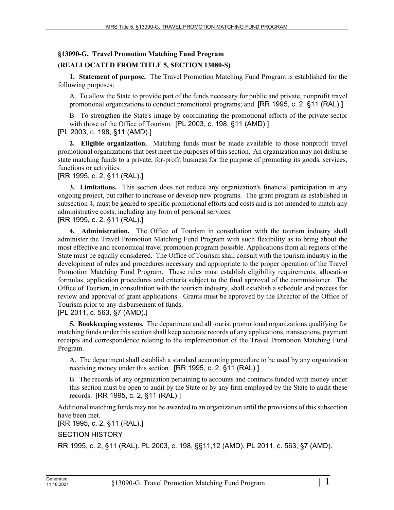## **§13090-G. Travel Promotion Matching Fund Program**

## **(REALLOCATED FROM TITLE 5, SECTION 13080-S)**

**1. Statement of purpose.** The Travel Promotion Matching Fund Program is established for the following purposes:

A. To allow the State to provide part of the funds necessary for public and private, nonprofit travel promotional organizations to conduct promotional programs; and [RR 1995, c. 2, §11 (RAL).]

B. To strengthen the State's image by coordinating the promotional efforts of the private sector with those of the Office of Tourism. [PL 2003, c. 198, §11 (AMD).]

[PL 2003, c. 198, §11 (AMD).]

**2. Eligible organization.** Matching funds must be made available to those nonprofit travel promotional organizations that best meet the purposes of this section. An organization may not disburse state matching funds to a private, for-profit business for the purpose of promoting its goods, services, functions or activities.

[RR 1995, c. 2, §11 (RAL).]

**3. Limitations.** This section does not reduce any organization's financial participation in any ongoing project, but rather to increase or develop new programs. The grant program as established in subsection 4, must be geared to specific promotional efforts and costs and is not intended to match any administrative costs, including any form of personal services.

[RR 1995, c. 2, §11 (RAL).]

**4. Administration.** The Office of Tourism in consultation with the tourism industry shall administer the Travel Promotion Matching Fund Program with such flexibility as to bring about the most effective and economical travel promotion program possible. Applications from all regions of the State must be equally considered. The Office of Tourism shall consult with the tourism industry in the development of rules and procedures necessary and appropriate to the proper operation of the Travel Promotion Matching Fund Program. These rules must establish eligibility requirements, allocation formulas, application procedures and criteria subject to the final approval of the commissioner. The Office of Tourism, in consultation with the tourism industry, shall establish a schedule and process for review and approval of grant applications. Grants must be approved by the Director of the Office of Tourism prior to any disbursement of funds.

[PL 2011, c. 563, §7 (AMD).]

**5. Bookkeeping systems.** The department and all tourist promotional organizations qualifying for matching funds under this section shall keep accurate records of any applications, transactions, payment receipts and correspondence relating to the implementation of the Travel Promotion Matching Fund Program.

A. The department shall establish a standard accounting procedure to be used by any organization receiving money under this section. [RR 1995, c. 2, §11 (RAL).]

B. The records of any organization pertaining to accounts and contracts funded with money under this section must be open to audit by the State or by any firm employed by the State to audit these records. [RR 1995, c. 2, §11 (RAL).]

Additional matching funds may not be awarded to an organization until the provisions of this subsection have been met.

[RR 1995, c. 2, §11 (RAL).]

SECTION HISTORY

RR 1995, c. 2, §11 (RAL). PL 2003, c. 198, §§11,12 (AMD). PL 2011, c. 563, §7 (AMD).